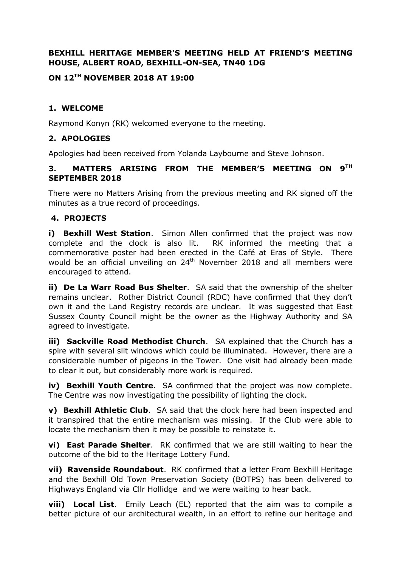# **BEXHILL HERITAGE MEMBER'S MEETING HELD AT FRIEND'S MEETING HOUSE, ALBERT ROAD, BEXHILL-ON-SEA, TN40 1DG**

# **ON 12TH NOVEMBER 2018 AT 19:00**

# **1. WELCOME**

Raymond Konyn (RK) welcomed everyone to the meeting.

## **2. APOLOGIES**

Apologies had been received from Yolanda Laybourne and Steve Johnson.

# **3. MATTERS ARISING FROM THE MEMBER'S MEETING ON 9TH SEPTEMBER 2018**

There were no Matters Arising from the previous meeting and RK signed off the minutes as a true record of proceedings.

### **4. PROJECTS**

**i) Bexhill West Station**. Simon Allen confirmed that the project was now complete and the clock is also lit. RK informed the meeting that a commemorative poster had been erected in the Café at Eras of Style. There would be an official unveiling on 24<sup>th</sup> November 2018 and all members were encouraged to attend.

**ii) De La Warr Road Bus Shelter**. SA said that the ownership of the shelter remains unclear. Rother District Council (RDC) have confirmed that they don't own it and the Land Registry records are unclear. It was suggested that East Sussex County Council might be the owner as the Highway Authority and SA agreed to investigate.

**iii) Sackville Road Methodist Church.** SA explained that the Church has a spire with several slit windows which could be illuminated. However, there are a considerable number of pigeons in the Tower. One visit had already been made to clear it out, but considerably more work is required.

**iv) Bexhill Youth Centre**. SA confirmed that the project was now complete. The Centre was now investigating the possibility of lighting the clock.

**v) Bexhill Athletic Club**. SA said that the clock here had been inspected and it transpired that the entire mechanism was missing. If the Club were able to locate the mechanism then it may be possible to reinstate it.

**vi) East Parade Shelter**. RK confirmed that we are still waiting to hear the outcome of the bid to the Heritage Lottery Fund.

**vii) Ravenside Roundabout**. RK confirmed that a letter From Bexhill Heritage and the Bexhill Old Town Preservation Society (BOTPS) has been delivered to Highways England via Cllr Hollidge and we were waiting to hear back.

**viii) Local List**. Emily Leach (EL) reported that the aim was to compile a better picture of our architectural wealth, in an effort to refine our heritage and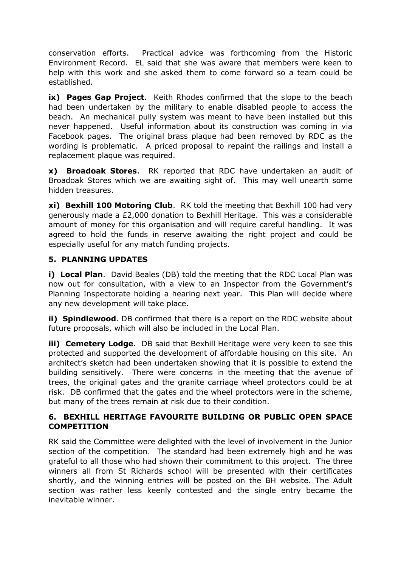conservation efforts. Practical advice was forthcoming from the Historic Environment Record. EL said that she was aware that members were keen to help with this work and she asked them to come forward so a team could be established.

**ix) Pages Gap Project**. Keith Rhodes confirmed that the slope to the beach had been undertaken by the military to enable disabled people to access the beach. An mechanical pully system was meant to have been installed but this never happened. Useful information about its construction was coming in via Facebook pages. The original brass plaque had been removed by RDC as the wording is problematic. A priced proposal to repaint the railings and install a replacement plaque was required.

**x) Broadoak Stores**. RK reported that RDC have undertaken an audit of Broadoak Stores which we are awaiting sight of. This may well unearth some hidden treasures.

**xi) Bexhill 100 Motoring Club**. RK told the meeting that Bexhill 100 had very generously made a £2,000 donation to Bexhill Heritage. This was a considerable amount of money for this organisation and will require careful handling. It was agreed to hold the funds in reserve awaiting the right project and could be especially useful for any match funding projects.

# **5. PLANNING UPDATES**

**i) Local Plan**. David Beales (DB) told the meeting that the RDC Local Plan was now out for consultation, with a view to an Inspector from the Government's Planning Inspectorate holding a hearing next year. This Plan will decide where any new development will take place.

**ii) Spindlewood**. DB confirmed that there is a report on the RDC website about future proposals, which will also be included in the Local Plan.

**iii) Cemetery Lodge.** DB said that Bexhill Heritage were very keen to see this protected and supported the development of affordable housing on this site. An architect's sketch had been undertaken showing that it is possible to extend the building sensitively. There were concerns in the meeting that the avenue of trees, the original gates and the granite carriage wheel protectors could be at risk. DB confirmed that the gates and the wheel protectors were in the scheme, but many of the trees remain at risk due to their condition.

## **6. BEXHILL HERITAGE FAVOURITE BUILDING OR PUBLIC OPEN SPACE COMPETITION**

RK said the Committee were delighted with the level of involvement in the Junior section of the competition. The standard had been extremely high and he was grateful to all those who had shown their commitment to this project. The three winners all from St Richards school will be presented with their certificates shortly, and the winning entries will be posted on the BH website. The Adult section was rather less keenly contested and the single entry became the inevitable winner.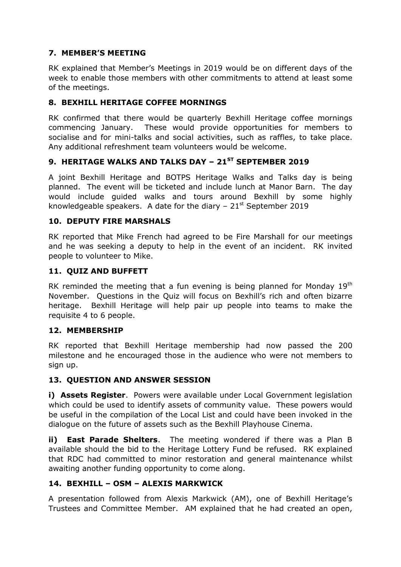# **7. MEMBER'S MEETING**

RK explained that Member's Meetings in 2019 would be on different days of the week to enable those members with other commitments to attend at least some of the meetings.

# **8. BEXHILL HERITAGE COFFEE MORNINGS**

RK confirmed that there would be quarterly Bexhill Heritage coffee mornings commencing January. These would provide opportunities for members to socialise and for mini-talks and social activities, such as raffles, to take place. Any additional refreshment team volunteers would be welcome.

## **9. HERITAGE WALKS AND TALKS DAY – 21ST SEPTEMBER 2019**

A joint Bexhill Heritage and BOTPS Heritage Walks and Talks day is being planned. The event will be ticketed and include lunch at Manor Barn. The day would include guided walks and tours around Bexhill by some highly knowledgeable speakers. A date for the diary  $-21^{st}$  September 2019

### **10. DEPUTY FIRE MARSHALS**

RK reported that Mike French had agreed to be Fire Marshall for our meetings and he was seeking a deputy to help in the event of an incident. RK invited people to volunteer to Mike.

### **11. QUIZ AND BUFFETT**

RK reminded the meeting that a fun evening is being planned for Monday  $19<sup>th</sup>$ November. Questions in the Quiz will focus on Bexhill's rich and often bizarre heritage. Bexhill Heritage will help pair up people into teams to make the requisite 4 to 6 people.

### **12. MEMBERSHIP**

RK reported that Bexhill Heritage membership had now passed the 200 milestone and he encouraged those in the audience who were not members to sign up.

### **13. QUESTION AND ANSWER SESSION**

**i) Assets Register**. Powers were available under Local Government legislation which could be used to identify assets of community value. These powers would be useful in the compilation of the Local List and could have been invoked in the dialogue on the future of assets such as the Bexhill Playhouse Cinema.

**ii) East Parade Shelters**. The meeting wondered if there was a Plan B available should the bid to the Heritage Lottery Fund be refused. RK explained that RDC had committed to minor restoration and general maintenance whilst awaiting another funding opportunity to come along.

### **14. BEXHILL – OSM – ALEXIS MARKWICK**

A presentation followed from Alexis Markwick (AM), one of Bexhill Heritage's Trustees and Committee Member. AM explained that he had created an open,